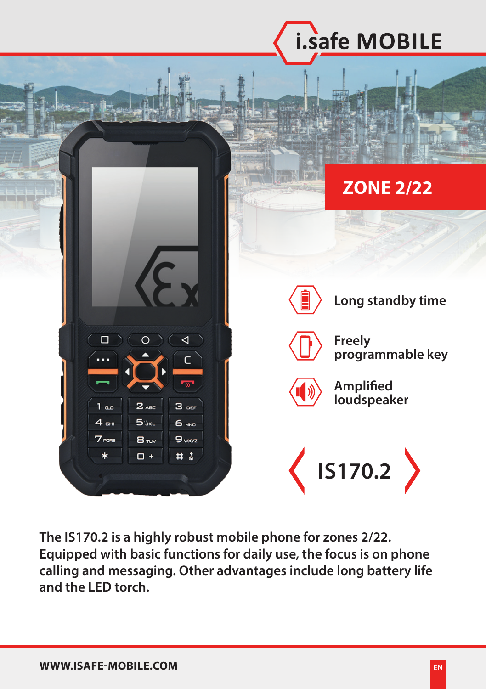

**The IS170.2 is a highly robust mobile phone for zones 2/22. Equipped with basic functions for daily use, the focus is on phone calling and messaging. Other advantages include long battery life and the LED torch.**